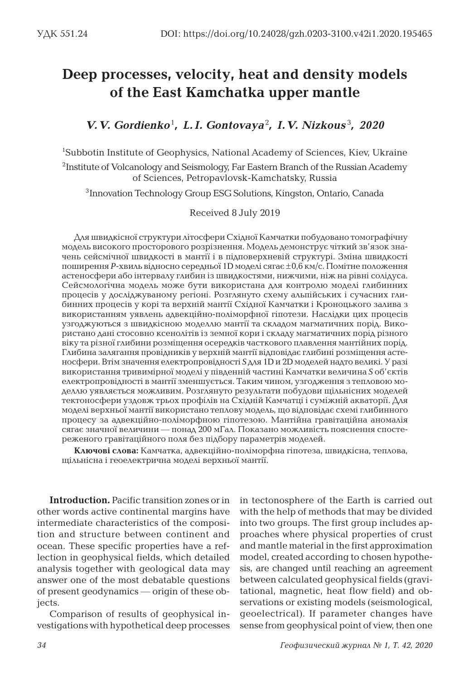## **Deep processes, velocity, heat and density models of the East Kamchatka upper mantle**

*V. V. Gordienko*<sup>1</sup> *, L. I. Gontovaya*<sup>2</sup> *, I. V. Nizkous* <sup>3</sup> *, 2020*

<sup>1</sup>Subbotin Institute of Geophysics, National Academy of Sciences, Kiev, Ukraine 2Institute of Volcanology and Seismology, Far Eastern Branch of the Russian Academy of Sciences, Petropavlovsk-Kamchatsky, Russia

3Innovation Technology Group ESG Solutions, Kingston, Ontario, Canada

Received 8 July 2019

Для швидкісної структури літосфери Східної Камчатки побудовано томографічну модель високого просторового розрізнення. Модель демонструє чіткий зв'язок значень сейсмічної швидкості в мантії і в підповерхневій структурі. Зміна швидкості поширення *P*-хвиль відносно середньої 1D моделі сягає ±0,6 км/с. Помітне положення астеносфери або інтервалу глибин із швидкостями, нижчими, ніж на рівні солідуса. Сейсмологічна модель може бути використана для контролю моделі глибинних процесів у досліджуваному регіоні. Розглянуто схему альпійських і сучасних глибинних процесів у корі та верхній мантії Східної Камчатки і Кроноцького залива з використанням уявлень адвекційно-поліморфної гіпотези. Наслідки цих процесів узгоджуються з швидкісною моделлю мантії та складом магматичних порід. Використано дані стосовно ксенолітів із земної кори і складу магматичних порід різного віку та різної глибини розміщення осередків часткового плавлення мантійних порід. Глибина залягання провідників у верхній мантії відповідає глибині розміщення астеносфери. Втім значення електропровідності *S* для 1D и 2D моделей надто великі. У разі використання тривимірної моделі у південній частині Камчатки величина *S* об'єктів електропровідності в мантії зменшується. Таким чином, узгодження з тепловою моделлю уявляється можливим. Розглянуто результати побудови щільнісних моделей тектоносфери уздовж трьох профілів на Східній Камчатці і суміжній акваторії. Для моделі верхньої мантії використано теплову модель, що відповідає схемі глибинного процесу за адвекційно-поліморфною гіпотезою. Мантійна гравітаційна аномалія сягає значної величини — понад 200 мГал. Показано можливість пояснення спостереженого гравітаційного поля без підбору параметрів моделей.

**Ключові слова:** Камчатка, адвекційно-поліморфна гіпотеза, швидкісна, теплова, щільнісна і геоелектрична моделі верхньої мантії.

**Introduction.** Pacific transition zones or in other words active continental margins have intermediate characteristics of the composition and structure between continent and ocean. These specific properties have a reflection in geophysical fields, which detailed analysis together with geological data may answer one of the most debatable questions of present geodynamics ― origin of these objects.

Comparison of results of geophysical investigations with hypothetical deep processes in tectonosphere of the Earth is carried out with the help of methods that may be divided into two groups. The first group includes approaches where physical properties of crust and mantle material in the first approximation model, created according to chosen hypothesis, are changed until reaching an agreement between calculated geophysical fields (gravitational, magnetic, heat flow field) and observations or existing models (seismological, geoelectrical). If parameter changes have sense from geophysical point of view, then one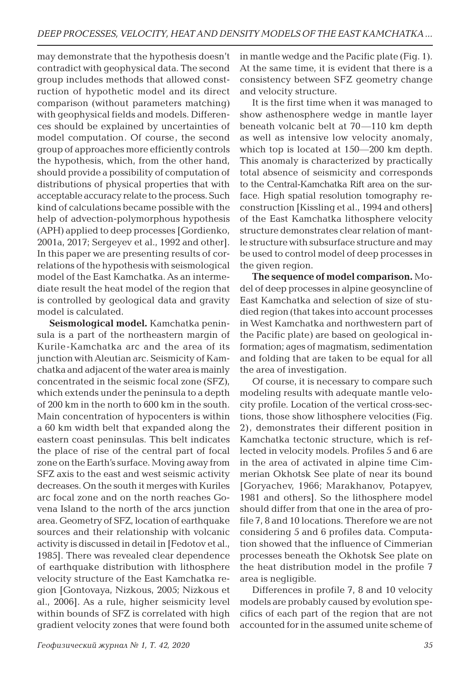may demonstrate that the hypothesis doesn't contradict with geophysical data. The second group includes methods that allowed construction of hypothetic model and its direct comparison (without parameters matching) with geophysical fields and models. Differences should be explained by uncertainties of model computation. Of course, the second group of approaches more efficiently controls the hypothesis, which, from the other hand, should provide a possibility of computation of distributions of physical properties that with acceptable accuracy relate to the process. Such kind of calculations became possible with the help of advection-polymorphous hypothesis (APH) applied to deep processes [Gordienko, 2001a, 2017; Sergeyev et al., 1992 and other]. In this paper we are presenting results of correlations of the hypothesis with seismological model of the East Kamchatka. As an intermediate result the heat model of the region that is controlled by geological data and gravity model is calculated.

**Seismological model.** Kamchatka peninsula is a part of the northeastern margin of Kurile-Kamchatka arc and the area of its junction with Aleutian arc. Seismicity of Kamchatka and adjacent of the water area is mainly concentrated in the seismic focal zone (SFZ), which extends under the peninsula to a depth of 200 km in the north to 600 km in the south. Main concentration of hypocenters is within a 60 km width belt that expanded along the eastern coast peninsulas. This belt indicates the place of rise of the central part of focal zone on the Earth's surface. Moving away from SFZ axis to the east and west seismic activity decreases. On the south it merges with Kuriles arc focal zone and on the north reaches Govena Island to the north of the arcs junction area. Geometry of SFZ, location of earthquake sources and their relationship with volcanic activity is discussed in detail in [Fedotov et al., 1985]. There was revealed clear dependence of earthquake distribution with lithosphere velocity structure of the East Kamchatka region [Gontovaya, Nizkous, 2005; Nizkous et al., 2006]. As a rule, higher seismicity level within bounds of SFZ is correlated with high gradient velocity zones that were found both

in mantle wedge and the Pacific plate (Fig. 1). At the same time, it is evident that there is a consistency between SFZ geometry change and velocity structure.

It is the first time when it was managed to show asthenosphere wedge in mantle layer beneath volcanic belt at 70―110 km depth as well as intensive low velocity anomaly, which top is located at 150―200 km depth. This anomaly is characterized by practically total absence of seismicity and corresponds to the Central-Kamchatka Rift area on the surface. High spatial resolution tomography reconstruction [Kissling et al., 1994 and others] of the East Kamchatka lithosphere velocity structure demonstrates clear relation of mantle structure with subsurface structure and may be used to control model of deep processes in the given region.

**The sequence of model comparison.** Model of deep processes in alpine geosyncline of East Kamchatka and selection of size of studied region (that takes into account processes in West Kamchatka and northwestern part of the Pacific plate) are based on geological information; ages of magmatism, sedimentation and folding that are taken to be equal for all the area of investigation.

Of course, it is necessary to compare such modeling results with adequate mantle velocity profile. Location of the vertical cross-sections, those show lithosphere velocities (Fig. 2), demonstrates their different position in Kamchatka tectonic structure, which is reflected in velocity models. Profiles 5 and 6 are in the area of activated in alpine time Cimmerian Okhotsk See plate of near its bound [Goryachev, 1966; Marakhanov, Potapyev, 1981 and others]. So the lithosphere model should differ from that one in the area of profile 7, 8 and 10 locations. Therefore we are not considering 5 and 6 profiles data. Computation showed that the influence of Cimmerian processes beneath the Okhotsk See plate on the heat distribution model in the profile 7 area is negligible.

Differences in profile 7, 8 and 10 velocity models are probably caused by evolution specifics of each part of the region that are not accounted for in the assumed unite scheme of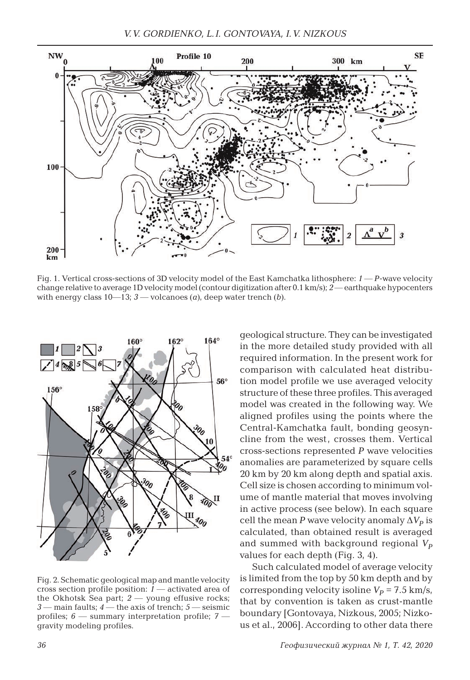

Fig. 1. Vertical cross-sections of 3D velocity model of the East Kamchatka lithosphere: *1* ― *P*-wave velocity change relative to average 1D velocity model (contour digitization after 0.1 km/s); *2* ― earthquake hypocenters with energy class  $10-13$ ;  $3$  — volcanoes (*a*), deep water trench (*b*).



Fig. 2. Schematic geological map and mantle velocity cross section profile position: *1* ― activated area of the Okhotsk Sea part; *2* ― young effusive rocks; *3* ― main faults; *4* ― the axis of trench; *5* ― seismic profiles; *6* ― summary interpretation profile; *7* ― gravity modeling profiles.

geological structure. They can be investigated in the more detailed study provided with all required information. In the present work for comparison with calculated heat distribution model profile we use averaged velocity structure of these three profiles. This averaged model was created in the following way. We aligned profiles using the points where the Central-Kamchatka fault, bonding geosyncline from the west, crosses them. Vertical cross-sections represented *P* wave velocities anomalies are parameterized by square cells 20 km by 20 km along depth and spatial axis. Cell size is chosen according to minimum volume of mantle material that moves involving in active process (see below). In each square cell the mean *P* wave velocity anomaly  $\Delta V_p$  is calculated, than obtained result is averaged and summed with background regional  $V_p$ values for each depth (Fig. 3, 4).

Such calculated model of average velocity is limited from the top by 50 km depth and by corresponding velocity isoline  $V_p = 7.5$  km/s, that by convention is taken as crust-mantle boundary [Gontovaya, Nizkous, 2005; Nizkous et al., 2006]. According to other data there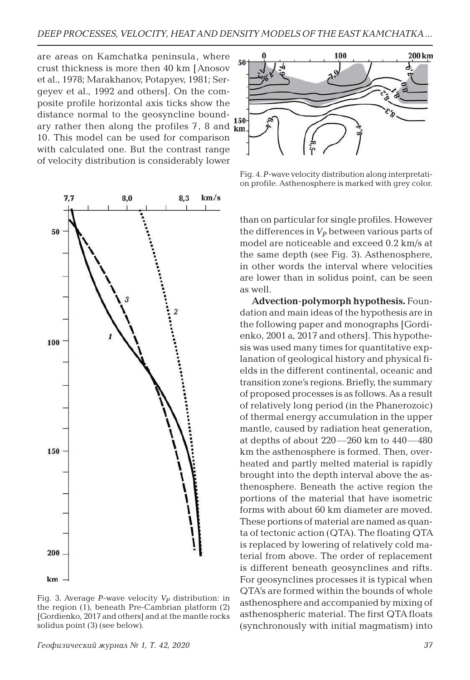are areas on Kamchatka peninsula, where crust thickness is more then 40 km [Anosov et al., 1978; Marakhanov, Potapyev, 1981; Sergeyev et al., 1992 and others]. On the composite profile horizontal axis ticks show the distance normal to the geosyncline boundary rather then along the profiles  $7, 8$  and  $km$ 10. This model can be used for comparison with calculated one. But the contrast range of velocity distribution is considerably lower



Fig. 4. *P*-wave velocity distribution along interpretation profile. Asthenosphere is marked with grey color.

than on particular for single profiles. However the differences in  $V_p$  between various parts of model are noticeable and exceed 0.2 km/s at the same depth (see Fig. 3). Asthenosphere, in other words the interval where velocities are lower than in solidus point, can be seen as well.

**Advection-polymorph hypothesis.** Foundation and main ideas of the hypothesis are in the following paper and monographs [Gordienko, 2001 a, 2017 and others]. This hypothesis was used many times for quantitative explanation of geological history and physical fields in the different continental, oceanic and transition zone's regions. Briefly, the summary of proposed processes is as follows. As a result of relatively long period (in the Phanerozoic) of thermal energy accumulation in the upper mantle, caused by radiation heat generation, at depths of about 220―260 km to 440―480 km the asthenosphere is formed. Then, overheated and partly melted material is rapidly brought into the depth interval above the asthenosphere. Beneath the active region the portions of the material that have isometric forms with about 60 km diameter are moved. These portions of material are named as quanta of tectonic action (QTA). The floating QTA is replaced by lowering of relatively cold material from above. The order of replacement is different beneath geosynclines and rifts. For geosynclines processes it is typical when QTA's are formed within the bounds of whole asthenosphere and accompanied by mixing of asthenospheric material. The first QTA floats (synchronously with initial magmatism) into



Fig. 3. Average *P*-wave velocity  $V_P$  distribution: in the region (1), beneath Pre-Cambrian platform (2) [Gordienko, 2017 and others] and at the mantle rocks solidus point (3) (see below).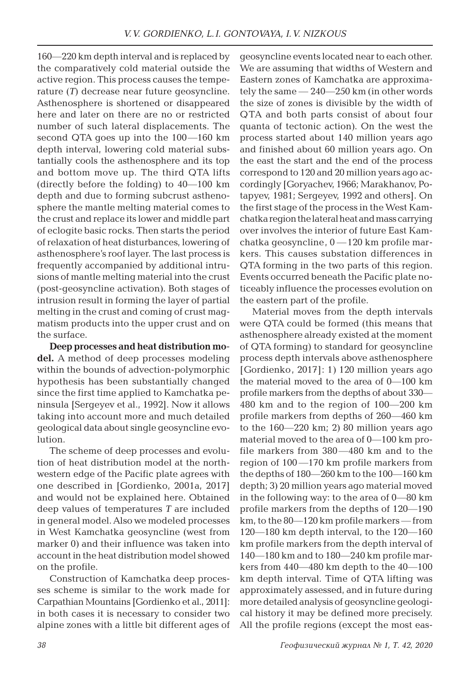160―220 km depth interval and is replaced by the comparatively cold material outside the active region. This process causes the temperature (*T*) decrease near future geosyncline. Asthenosphere is shortened or disappeared here and later on there are no or restricted number of such lateral displacements. The second QTA goes up into the 100―160 km depth interval, lowering cold material substantially cools the asthenosphere and its top and bottom move up. The third QTA lifts (directly before the folding) to 40―100 km depth and due to forming subcrust asthenosphere the mantle melting material comes to the crust and replace its lower and middle part of eclogite basic rocks. Then starts the period of relaxation of heat disturbances, lowering of asthenosphere's roof layer. The last process is frequently accompanied by additional intrusions of mantle melting material into the crust (post-geosyncline activation). Both stages of intrusion result in forming the layer of partial melting in the crust and coming of crust magmatism products into the upper crust and on the surface.

**Deep processes and heat distribution model.** A method of deep processes modeling within the bounds of advection-polymorphic hypothesis has been substantially changed since the first time applied to Kamchatka peninsula [Sergeyev et al., 1992]. Now it allows taking into account more and much detailed geological data about single geosyncline evolution.

The scheme of deep processes and evolution of heat distribution model at the northwestern edge of the Pacific plate agrees with one described in [Gordienko, 2001a, 2017] and would not be explained here. Obtained deep values of temperatures *T* are included in general model. Also we modeled processes in West Kamchatka geosyncline (west from marker 0) and their influence was taken into account in the heat distribution model showed on the profile.

Construction of Kamchatka deep processes scheme is similar to the work made for Carpathian Mountains [Gordienko et al., 2011]: in both cases it is necessary to consider two alpine zones with a little bit different ages of geosyncline events located near to each other. We are assuming that widths of Western and Eastern zones of Kamchatka are approximately the same ― 240―250 km (in other words the size of zones is divisible by the width of QTA and both parts consist of about four quanta of tectonic action). On the west the process started about 140 million years ago and finished about 60 million years ago. On the east the start and the end of the process correspond to 120 and 20 million years ago accordingly [Goryachev, 1966; Marakhanov, Potapyev, 1981; Sergeyev, 1992 and others]. On the first stage of the process in the West Kamchatka region the lateral heat and mass carrying over involves the interior of future East Kamchatka geosyncline,  $0 - 120$  km profile markers. This causes substation differences in QTA forming in the two parts of this region. Events occurred beneath the Pacific plate noticeably influence the processes evolution on the eastern part of the profile.

Material moves from the depth intervals were QTA could be formed (this means that asthenosphere already existed at the moment of QTA forming) to standard for geosyncline process depth intervals above asthenosphere [Gordienko, 2017]: 1) 120 million years ago the material moved to the area of 0―100 km profile markers from the depths of about 330― 480 km and to the region of 100―200 km profile markers from depths of 260―460 km to the 160―220 km; 2) 80 million years ago material moved to the area of 0―100 km profile markers from 380―480 km and to the region of  $100 - 170$  km profile markers from the depths of 180―260 km to the 100―160 km depth; 3) 20 million years ago material moved in the following way: to the area of 0―80 km profile markers from the depths of 120―190 km, to the 80―120 km profile markers ― from 120―180 km depth interval, to the 120―160 km profile markers from the depth interval of 140―180 km and to 180―240 km profile markers from 440―480 km depth to the 40―100 km depth interval. Time of QTA lifting was approximately assessed, and in future during more detailed analysis of geosyncline geological history it may be defined more precisely. All the profile regions (except the most eas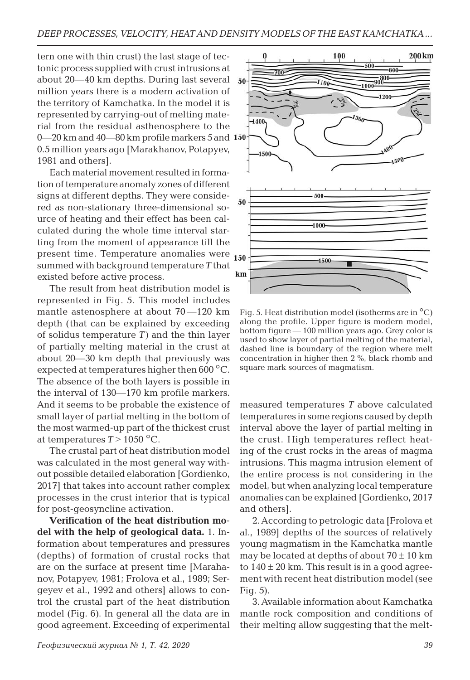tern one with thin crust) the last stage of tectonic process supplied with crust intrusions at about 20―40 km depths. During last several million years there is a modern activation of the territory of Kamchatka. In the model it is represented by carrying-out of melting material from the residual asthenosphere to the 0-20 km and 40-80 km profile markers 5 and 150 0.5 million years ago [Marakhanov, Potapyev, 1981 and others].

Each material movement resulted in formation of temperature anomaly zones of different signs at different depths. They were considered as non-stationary three-dimensional source of heating and their effect has been calculated during the whole time interval starting from the moment of appearance till the present time. Temperature anomalies were 150 summed with background temperature *T* that existed before active process.

The result from heat distribution model is represented in Fig. 5. This model includes mantle astenosphere at about 70 — 120 km depth (that can be explained by exceeding of solidus temperature *T*) and the thin layer of partially melting material in the crust at about 20―30 km depth that previously was expected at temperatures higher then 600 °C. The absence of the both layers is possible in the interval of 130―170 km profile markers. And it seems to be probable the existence of small layer of partial melting in the bottom of the most warmed-up part of the thickest crust at temperatures  $T > 1050$  °C.

The crustal part of heat distribution model was calculated in the most general way without possible detailed elaboration [Gordienko, 2017] that takes into account rather complex processes in the crust interior that is typical for post-geosyncline activation.

**Verification of the heat distribution model with the help of geological data.** 1. Information about temperatures and pressures (depths) of formation of crustal rocks that are on the surface at present time [Marahanov, Potapyev, 1981; Frolova et al., 1989; Sergeyev et al., 1992 and others] allows to control the crustal part of the heat distribution model (Fig. 6). In general all the data are in good agreement. Exceeding of experimental



Fig. 5. Heat distribution model (isotherms are in °С) along the profile. Upper figure is modern model, bottom figure ― 100 million years ago. Grey color is used to show layer of partial melting of the material, dashed line is boundary of the region where melt concentration in higher then 2 %, black rhomb and square mark sources of magmatism.

measured temperatures *T* above calculated temperatures in some regions caused by depth interval above the layer of partial melting in the crust. High temperatures reflect heating of the crust rocks in the areas of magma intrusions. This magma intrusion element of the entire process is not considering in the model, but when analyzing local temperature anomalies can be explained [Gordienko, 2017 and others].

2. According to petrologic data [Frolova et al., 1989] depths of the sources of relatively young magmatism in the Kamchatka mantle may be located at depths of about  $70 \pm 10$  km to  $140 \pm 20$  km. This result is in a good agreement with recent heat distribution model (see Fig. 5).

3. Available information about Kamchatka mantle rock composition and conditions of their melting allow suggesting that the melt-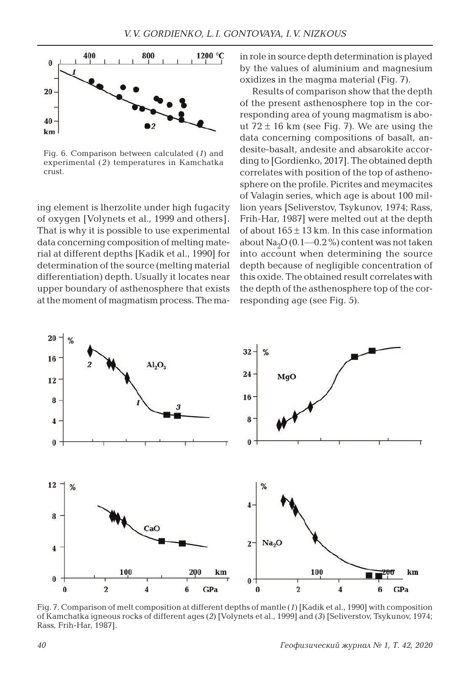

Fig. 6. Comparison between calculated (*1*) and experimental (*2*) temperatures in Kamchatka crust.

ing element is lherzolite under high fugacity of oxygen [Volynets et al., 1999 and others]. That is why it is possible to use experimental data concerning composition of melting material at different depths [Kadik et al., 1990] for determination of the source (melting material differentiation) depth. Usually it locates near upper boundary of asthenosphere that exists at the moment of magmatism process. The main role in source depth determination is played by the values of aluminium and magnesium oxidizes in the magma material (Fig. 7).

Results of comparison show that the depth of the present asthenosphere top in the corresponding area of young magmatism is about  $72 \pm 16$  km (see Fig. 7). We are using the data concerning compositions of basalt, andesite-basalt, andesite and absarokite according to [Gordienko, 2017]. The obtained depth correlates with position of the top of asthenosphere on the profile. Picrites and meymacites of Valagin series, which age is about 100 million years [Seliverstov, Tsykunov, 1974; Rass, Frih-Har, 1987] were melted out at the depth of about  $165 \pm 13$  km. In this case information about  $\text{Na}_2\text{O}$  (0.1—0.2 %) content was not taken into account when determining the source depth because of negligible concentration of this oxide. The obtained result correlates with the depth of the asthenosphere top of the corresponding age (see Fig. 5).



Fig. 7. Comparison of melt composition at different depths of mantle (*1*) [Kadik et al., 1990] with composition of Kamchatka igneous rocks of different ages (*2*) [Volynets et al., 1999] and (*3*) [Seliverstov, Tsykunov, 1974; Rass, Frih-Har, 1987].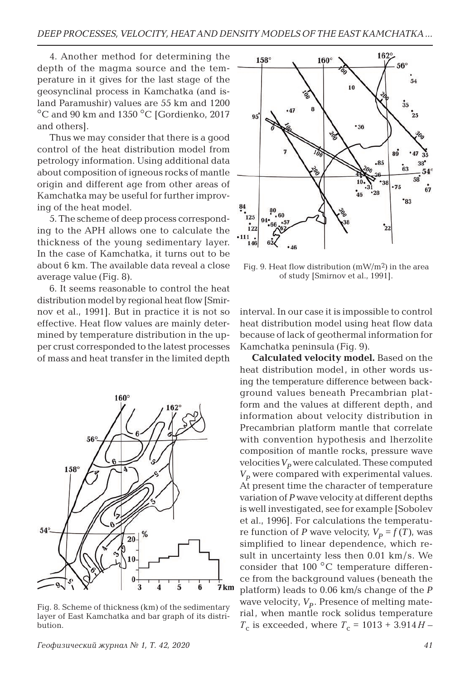4. Another method for determining the depth of the magma source and the temperature in it gives for the last stage of the geosynclinal process in Kamchatka (and island Paramushir) values are 55 km and 1200 °C and 90 km and 1350 °C [Gordienko, 2017 and others].

Thus we may consider that there is a good control of the heat distribution model from petrology information. Using additional data about composition of igneous rocks of mantle origin and different age from other areas of Kamchatka may be useful for further improving of the heat model.

5. The scheme of deep process corresponding to the APH allows one to calculate the thickness of the young sedimentary layer. In the case of Kamchatka, it turns out to be about 6 km. The available data reveal a close average value (Fig. 8).

6. It seems reasonable to control the heat distribution model by regional heat flow [Smirnov et al., 1991]. But in practice it is not so effective. Heat flow values are mainly determined by temperature distribution in the upper crust corresponded to the latest processes of mass and heat transfer in the limited depth



Fig. 8. Scheme of thickness (km) of the sedimentary layer of East Kamchatka and bar graph of its distribution.



Fig. 9. Heat flow distribution  $(mW/m<sup>2</sup>)$  in the area of study [Smirnov et al., 1991].

interval. In our case it is impossible to control heat distribution model using heat flow data because of lack of geothermal information for Kamchatka peninsula (Fig. 9).

**Calculated velocity model.** Based on the heat distribution model, in other words using the temperature difference between background values beneath Precambrian platform and the values at different depth, and information about velocity distribution in Precambrian platform mantle that correlate with convention hypothesis and lherzolite composition of mantle rocks, pressure wave velocities  $V_p$  were calculated. These computed  $V_p$  were compared with experimental values. At present time the character of temperature variation of *P* wave velocity at different depths is well investigated, see for example [Sobolev et al., 1996]. For calculations the temperature function of *P* wave velocity,  $V_p = f(T)$ , was simplified to linear dependence, which result in uncertainty less then 0.01 km/s. We consider that  $100^{\circ}$ C temperature difference from the background values (beneath the platform) leads to 0.06 km/s change of the *P*  wave velocity,  $V_p$ . Presence of melting material, when mantle rock solidus temperature *T*<sub>c</sub> is exceeded, where  $T_c = 1013 + 3.914H -$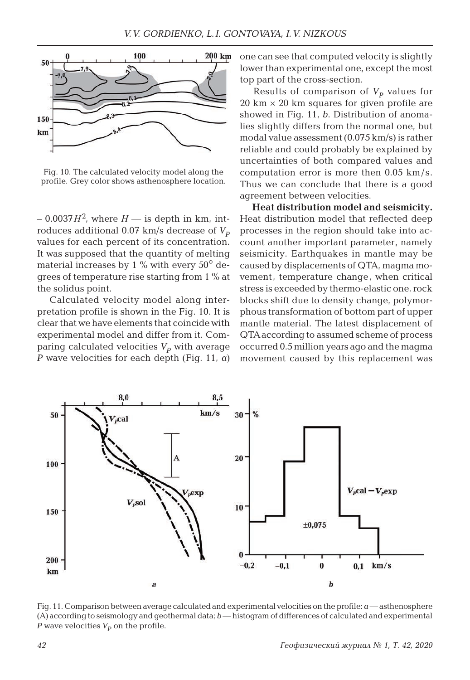

Fig. 10. The calculated velocity model along the profile. Grey color shows asthenosphere location.

 $-0.0037H^2$ , where  $H$  — is depth in km, introduces additional  $0.07$  km/s decrease of  $V_p$ values for each percent of its concentration. It was supposed that the quantity of melting material increases by 1  $\%$  with every 50 $\degree$  degrees of temperature rise starting from 1 % at the solidus point.

Calculated velocity model along interpretation profile is shown in the Fig. 10. It is clear that we have elements that coincide with experimental model and differ from it. Comparing calculated velocities  $V_p$  with average *P* wave velocities for each depth (Fig. 11, *a*)

one can see that computed velocity is slightly lower than experimental one, except the most top part of the cross-section.

Results of comparison of  $V_p$  values for  $20 \text{ km} \times 20 \text{ km}$  squares for given profile are showed in Fig. 11, *b*. Distribution of anomalies slightly differs from the normal one, but modal value assessment (0.075 km/s) is rather reliable and could probably be explained by uncertainties of both compared values and computation error is more then 0.05 km/s. Thus we can conclude that there is a good agreement between velocities.

**Heat distribution model and seismicity.**  Heat distribution model that reflected deep processes in the region should take into account another important parameter, namely seismicity. Earthquakes in mantle may be caused by displacements of QTA, magma movement, temperature change, when critical stress is exceeded by thermo-elastic one, rock blocks shift due to density change, polymorphous transformation of bottom part of upper mantle material. The latest displacement of QTA according to assumed scheme of process occurred 0.5 million years ago and the magma movement caused by this replacement was



Fig. 11. Comparison between average calculated and experimental velocities on the profile:  $a$ —asthenosphere (A) according to seismology and geothermal data; *b* ― histogram of differences of calculated and experimental *P* wave velocities  $V_p$  on the profile.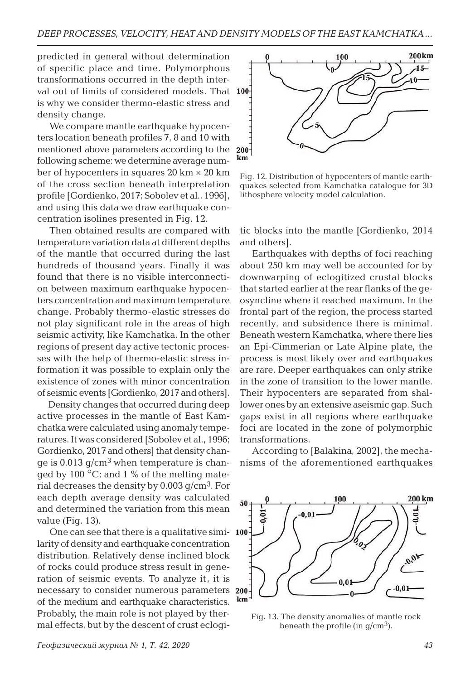predicted in general without determination of specific place and time. Polymorphous transformations occurred in the depth interval out of limits of considered models. That 100 is why we consider thermo-elastic stress and density change.

We compare mantle earthquake hypocenters location beneath profiles 7, 8 and 10 with mentioned above parameters according to the following scheme: we determine average number of hypocenters in squares  $20 \text{ km} \times 20 \text{ km}$ of the cross section beneath interpretation profile [Gordienko, 2017; Sobolev et al., 1996], and using this data we draw earthquake concentration isolines presented in Fig. 12.

Then obtained results are compared with temperature variation data at different depths of the mantle that occurred during the last hundreds of thousand years. Finally it was found that there is no visible interconnection between maximum earthquake hypocenters concentration and maximum temperature change. Probably thermo-elastic stresses do not play significant role in the areas of high seismic activity, like Kamchatka. In the other regions of present day active tectonic processes with the help of thermo-elastic stress information it was possible to explain only the existence of zones with minor concentration of seismic events [Gordienko, 2017 and others].

Density changes that occurred during deep active processes in the mantle of East Kamchatka were calculated using anomaly temperatures. It was considered [Sobolev et al., 1996; Gordienko, 2017 and others] that density change is 0.013  $g/cm<sup>3</sup>$  when temperature is changed by 100 $\degree$ C; and 1 % of the melting material decreases the density by  $0.003$  g/cm<sup>3</sup>. For each depth average density was calculated and determined the variation from this mean value (Fig. 13).

One can see that there is a qualitative similarity of density and earthquake concentration distribution. Relatively dense inclined block of rocks could produce stress result in generation of seismic events. To analyze it, it is necessary to consider numerous parameters of the medium and earthquake characteristics. Probably, the main role is not played by thermal effects, but by the descent of crust eclogi-



Fig. 12. Distribution of hypocenters of mantle earthquakes selected from Kamchatka catalogue for 3D lithosphere velocity model calculation.

tic blocks into the mantle [Gordienko, 2014 and others].

Earthquakes with depths of foci reaching about 250 km may well be accounted for by downwarping of eclogitized crustal blocks that started earlier at the rear flanks of the geosyncline where it reached maximum. In the frontal part of the region, the process started recently, and subsidence there is minimal. Beneath western Kamchatka, where there lies an Epi-Cimmerian or Late Alpine plate, the process is most likely over and earthquakes are rare. Deeper earthquakes can only strike in the zone of transition to the lower mantle. Their hypocenters are separated from shallower ones by an extensive aseismic gap. Such gaps exist in all regions where earthquake foci are located in the zone of polymorphic transformations.

According to [Balakina, 2002], the mechanisms of the aforementioned earthquakes



Fig. 13. The density anomalies of mantle rock beneath the profile (in  $q/cm^3$ ).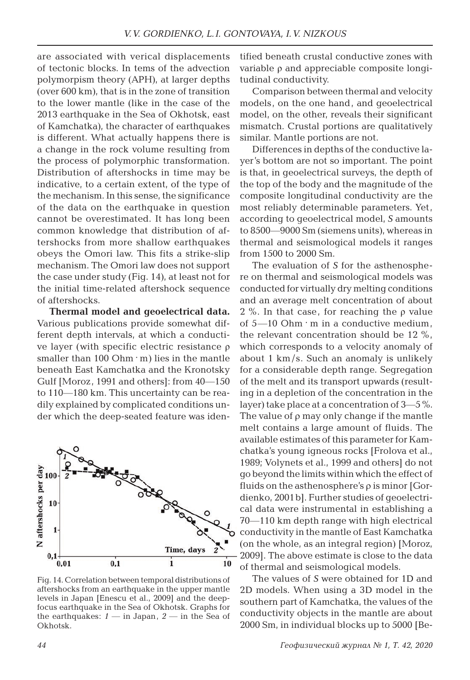are associated with verical displacements of tectonic blocks. In tems of the advection polymorpism theory (APH), at larger depths (over 600 km), that is in the zone of transition to the lower mantle (like in the case of the 2013 earthquake in the Sea of Okhotsk, east of Kamchatka), the character of earthquakes is different. What actually happens there is a change in the rock volume resulting from the process of polymorphic transformation. Distribution of aftershocks in time may be indicative, to a certain extent, of the type of the mechanism. In this sense, the significance of the data on the earthquake in question cannot be overestimated. It has long been common knowledge that distribution of aftershocks from more shallow earthquakes obeys the Omori law. This fits a strike-slip mechanism. The Omori law does not support the case under study (Fig. 14), at least not for the initial time-related aftershock sequence of aftershocks.

**Thermal model and geoelectrical data.**  Various publications provide somewhat different depth intervals, at which a conductive layer (with specific electric resistance ρ smaller than  $100$  Ohm  $\cdot$  m) lies in the mantle beneath East Kamchatka and the Kronotsky Gulf [Moroz, 1991 and others]: from 40―150 to 110―180 km. This uncertainty can be readily explained by complicated conditions under which the deep-seated feature was iden-



Fig. 14. Correlation between temporal distributions of aftershocks from an earthquake in the upper mantle levels in Japan [Enescu et al., 2009] and the deepfocus earthquake in the Sea of Okhotsk. Graphs for the earthquakes: *1* ― in Japan, *2* ― in the Sea of Okhotsk.

tified beneath crustal conductive zones with variable ρ and appreciable composite longitudinal conductivity.

Comparison between thermal and velocity models, on the one hand, and geoelectrical model, on the other, reveals their significant mismatch. Crustal portions are qualitatively similar. Mantle portions are not.

Differences in depths of the conductive layer's bottom are not so important. The point is that, in geoelectrical surveys, the depth of the top of the body and the magnitude of the composite longitudinal conductivity are the most reliably determinable parameters. Yet, according to geoelectrical model, *S* amounts to 8500―9000 Sm (siemens units), whereas in thermal and seismological models it ranges from 1500 to 2000 Sm.

The evaluation of *S* for the asthenosphere on thermal and seismological models was conducted for virtually dry melting conditions and an average melt concentration of about 2 %. In that case, for reaching the  $\rho$  value of  $5-10$  Ohm  $\cdot$  m in a conductive medium, the relevant concentration should be 12 %, which corresponds to a velocity anomaly of about  $1 \text{ km/s}$ . Such an anomaly is unlikely for a considerable depth range. Segregation of the melt and its transport upwards (resulting in a depletion of the concentration in the layer) take place at a concentration of 3―5 %. The value of  $\rho$  may only change if the mantle melt contains a large amount of fluids. The available estimates of this parameter for Kamchatka's young igneous rocks [Frolova et al., 1989; Volynets et al., 1999 and others] do not go beyond the limits within which the effect of fluids on the asthenosphere's  $\rho$  is minor [Gordienko, 2001b]. Further studies of geoelectrical data were instrumental in establishing a 70―110 km depth range with high electrical conductivity in the mantle of East Kamchatka (on the whole, as an integral region) [Moroz, 2009]. The above estimate is close to the data of thermal and seismological models.

The values of *S* were obtained for 1D and 2D models. When using a 3D model in the southern part of Kamchatka, the values of the conductivity objects in the mantle are about 2000 Sm, in individual blocks up to 5000 [Be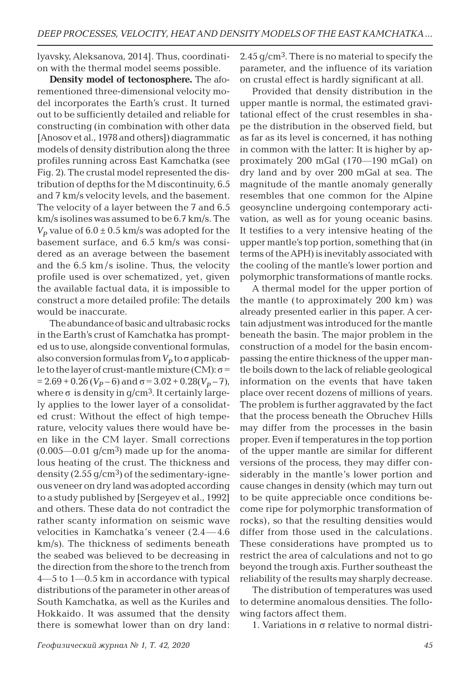lyavsky, Aleksanova, 2014]. Thus, coordination with the thermal model seems possible.

**Density model of tectonosphere.** The aforementioned three-dimensional velocity model incorporates the Earth's crust. It turned out to be sufficiently detailed and reliable for constructing (in combination with other data [Anosov et al., 1978 and others]) diagrammatic models of density distribution along the three profiles running across East Kamchatka (see Fig. 2). The crustal model represented the distribution of depths for the M discontinuity, 6.5 and 7 km/s velocity levels, and the basement. The velocity of a layer between the 7 and 6.5 km/s isolines was assumed to be 6.7 km/s. The  $V_p$  value of  $6.0 \pm 0.5$  km/s was adopted for the basement surface, and 6.5 km/s was considered as an average between the basement and the 6.5 km /s isoline. Thus, the velocity profile used is over schematized, yet, given the available factual data, it is impossible to construct a more detailed profile: The details would be inaccurate.

The abundance of basic and ultrabasic rocks in the Earth's crust of Kamchatka has prompted us to use, alongside conventional formulas, also conversion formulas from  $V_p$  to  $\sigma$  applicable to the layer of crust-mantle mixture (CM):  $σ =$  $= 2.69 + 0.26 (V_p - 6)$  and  $\sigma = 3.02 + 0.28(V_p - 7)$ , where  $\sigma$  is density in  $g/cm^3$ . It certainly largely applies to the lower layer of a consolidated crust: Without the effect of high temperature, velocity values there would have been like in the CM layer. Small corrections  $(0.005-0.01)$  g/cm<sup>3</sup>) made up for the anomalous heating of the crust. The thickness and density  $(2.55 \text{ g/cm}^3)$  of the sedimentary-igneous veneer on dry land was adopted according to a study published by [Sergeyev et al., 1992] and others. These data do not contradict the rather scanty information on seismic wave velocities in Kamchatka's veneer (2.4 ―4.6 km/s). The thickness of sediments beneath the seabed was believed to be decreasing in the direction from the shore to the trench from 4―5 to 1―0.5 km in accordance with typical distributions of the parameter in other areas of South Kamchatka, as well as the Kuriles and Hokkaido. It was assumed that the density there is somewhat lower than on dry land:

2.45  $q/cm<sup>3</sup>$ . There is no material to specify the parameter, and the influence of its variation on crustal effect is hardly significant at all.

Provided that density distribution in the upper mantle is normal, the estimated gravitational effect of the crust resembles in shape the distribution in the observed field, but as far as its level is concerned, it has nothing in common with the latter: It is higher by approximately 200 mGal (170―190 mGal) on dry land and by over 200 mGal at sea. The magnitude of the mantle anomaly generally resembles that one common for the Alpine geosyncline undergoing contemporary activation, as well as for young oceanic basins. It testifies to a very intensive heating of the upper mantle's top portion, something that (in terms of the APH) is inevitably associated with the cooling of the mantle's lower portion and polymorphic transformations of mantle rocks.

A thermal model for the upper portion of the mantle (to approximately 200 km) was already presented earlier in this paper. A certain adjustment was introduced for the mantle beneath the basin. The major problem in the construction of a model for the basin encompassing the entire thickness of the upper mantle boils down to the lack of reliable geological information on the events that have taken place over recent dozens of millions of years. The problem is further aggravated by the fact that the process beneath the Obruchev Hills may differ from the processes in the basin proper. Even if temperatures in the top portion of the upper mantle are similar for different versions of the process, they may differ considerably in the mantle's lower portion and cause changes in density (which may turn out to be quite appreciable once conditions become ripe for polymorphic transformation of rocks), so that the resulting densities would differ from those used in the calculations. These considerations have prompted us to restrict the area of calculations and not to go beyond the trough axis. Further southeast the reliability of the results may sharply decrease.

The distribution of temperatures was used to determine anomalous densities. The following factors affect them.

1. Variations in  $\sigma$  relative to normal distri-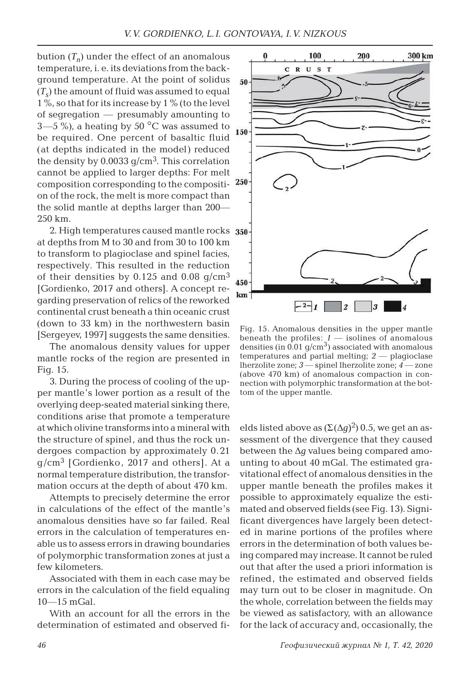bution  $(T_n)$  under the effect of an anomalous temperature, i. e. its deviations from the background temperature. At the point of solidus  $(T<sub>s</sub>)$  the amount of fluid was assumed to equal  $1\%$ , so that for its increase by  $1\%$  (to the level of segregation ― presumably amounting to  $3-5\%$ , a heating by 50 °C was assumed to be required. One percent of basaltic fluid (at depths indicated in the model) reduced the density by  $0.0033$   $q/cm<sup>3</sup>$ . This correlation cannot be applied to larger depths: For melt composition corresponding to the composition of the rock, the melt is more compact than the solid mantle at depths larger than 200― 250 km.

2. High temperatures caused mantle rocks 350 at depths from M to 30 and from 30 to 100 km to transform to plagioclase and spinel facies, respectively. This resulted in the reduction of their densities by  $0.125$  and  $0.08$  g/cm<sup>3</sup> [Gordienko, 2017 and others]. A concept regarding preservation of relics of the reworked continental crust beneath a thin oceanic crust (down to 33 km) in the northwestern basin [Sergeyev, 1997] suggests the same densities.

The anomalous density values for upper mantle rocks of the region are presented in Fig. 15.

3. During the process of cooling of the upper mantle's lower portion as a result of the overlying deep-seated material sinking there, conditions arise that promote a temperature at which olivine transforms into a mineral with the structure of spinel, and thus the rock undergoes compaction by approximately 0.21 g/cm<sup>3</sup> [Gordienko, 2017 and others]. At a normal temperature distribution, the transformation occurs at the depth of about 470 km.

Attempts to precisely determine the error in calculations of the effect of the mantle's anomalous densities have so far failed. Real errors in the calculation of temperatures enable us to assess errors in drawing boundaries of polymorphic transformation zones at just a few kilometers.

Associated with them in each case may be errors in the calculation of the field equaling  $10 - 15$  mGal.

With an account for all the errors in the determination of estimated and observed fi-



Fig. 15. Anomalous densities in the upper mantle beneath the profiles:  $1 -$  isolines of anomalous densities (in  $0.01$  g/cm<sup>3</sup>) associated with anomalous temperatures and partial melting; *2* ― plagioclase lherzolite zone; *3* ― spinel lherzolite zone; *4* ― zone (above 470 km) of anomalous compaction in connection with polymorphic transformation at the bottom of the upper mantle.

elds listed above as  $(\Sigma(\Delta g)^2)$  0.5, we get an assessment of the divergence that they caused between the Δ*g* values being compared amounting to about 40 mGal. The estimated gravitational effect of anomalous densities in the upper mantle beneath the profiles makes it possible to approximately equalize the estimated and observed fields (see Fig. 13). Significant divergences have largely been detected in marine portions of the profiles where errors in the determination of both values being compared may increase. It cannot be ruled out that after the used a priori information is refined, the estimated and observed fields may turn out to be closer in magnitude. On the whole, correlation between the fields may be viewed as satisfactory, with an allowance for the lack of accuracy and, occasionally, the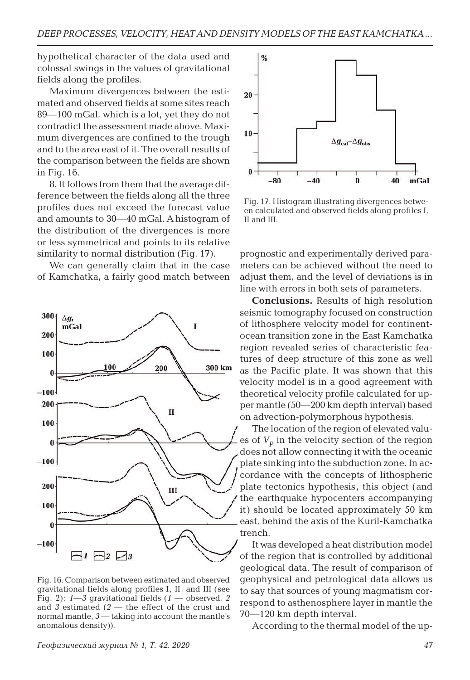hypothetical character of the data used and colossal swings in the values of gravitational fields along the profiles.

Maximum divergences between the estimated and observed fields at some sites reach 89―100 mGal, which is a lot, yet they do not contradict the assessment made above. Maximum divergences are confined to the trough and to the area east of it. The overall results of the comparison between the fields are shown in Fig. 16.

8. It follows from them that the average difference between the fields along all the three profiles does not exceed the forecast value and amounts to 30―40 mGal. A histogram of the distribution of the divergences is more or less symmetrical and points to its relative similarity to normal distribution (Fig. 17).

We can generally claim that in the case of Kamchatka, a fairly good match between



Fig. 16. Comparison between estimated and observed gravitational fields along profiles I, II, and III (see Fig. 2): *1*―*3* gravitational fields (*1* ― observed, *2*  and *3* estimated (*2* ― the effect of the crust and normal mantle, *3* ― taking into account the mantle's anomalous density)).



Fig. 17. Histogram illustrating divergences between calculated and observed fields along profiles I, II and III.

prognostic and experimentally derived parameters can be achieved without the need to adjust them, and the level of deviations is in line with errors in both sets of parameters.

**Conclusions.** Results of high resolution seismic tomography focused on construction of lithosphere velocity model for continentocean transition zone in the East Kamchatka region revealed series of characteristic features of deep structure of this zone as well as the Pacific plate. It was shown that this velocity model is in a good agreement with theoretical velocity profile calculated for upper mantle (50―200 km depth interval) based on advection-polymorphous hypothesis.

The location of the region of elevated values of  $V_p$  in the velocity section of the region does not allow connecting it with the oceanic plate sinking into the subduction zone. In accordance with the concepts of lithospheric plate tectonics hypothesis, this object (and the earthquake hypocenters accompanying it) should be located approximately 50 km east, behind the axis of the Kuril-Kamchatka trench.

It was developed a heat distribution model of the region that is controlled by additional geological data. The result of comparison of geophysical and petrological data allows us to say that sources of young magmatism correspond to asthenosphere layer in mantle the 70―120 km depth interval.

According to the thermal model of the up-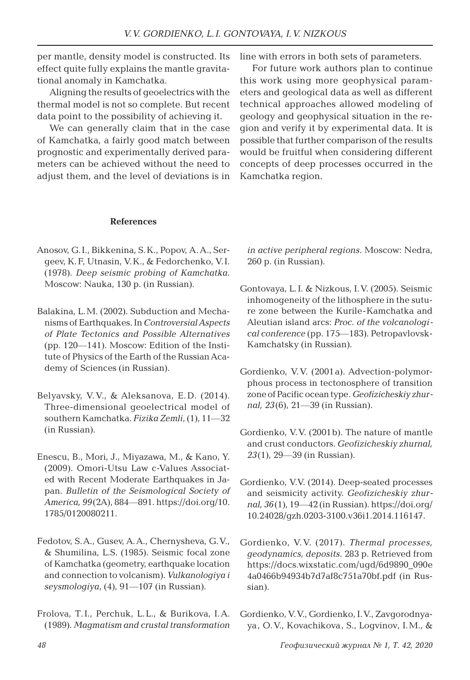per mantle, density model is constructed. Its effect quite fully explains the mantle gravitational anomaly in Kamchatka.

Aligning the results of geoelectrics with the thermal model is not so complete. But recent data point to the possibility of achieving it.

We can generally claim that in the case of Kamchatka, a fairly good match between prognostic and experimentally derived parameters can be achieved without the need to adjust them, and the level of deviations is in

## **References**

- Anosov, G.I., Bikkenina, S.K., Popov, А.А., Sergeev, K.F, Utnasin, V.K., & Fedorchenko, V.I. (1978). *Deep seismic probing of Kamchatka*. Moscow: Nauka, 130 p. (in Russian).
- Balakina, L.M. (2002). Subduction and Mechanisms of Earthquakes. In *Controversial Aspects of Plate Tectonics and Possible Alternatives* (pp. 120―141). Moscow: Edition of the Institute of Physics of the Earth of the Russian Academy of Sciences (in Russian).
- Belyavsky, V. V., & Aleksanova, E. D. (2014). Three-dimensional geoelectrical model of southern Kamchatka. *Fizika Zemli*, (1), 11―32 (in Russian).
- Enescu, B., Mori, J., Miyazawa, M., & Kano, Y. (2009). Omori-Utsu Law c-Values Associated with Recent Moderate Earthquakes in Japan. *Bulletin of the Seismological Society of America, 99*(2A), 884―891. https://doi.org/10. 1785/0120080211.
- Fedotov, S.A., Gusev, A.A., Chernysheva, G.V., & Shumilina, L.S. (1985). Seismic focal zone of Kamchatka (geometry, earthquake location and connection to volcanism). *Vulkanologiya i seysmologiya*, (4), 91―107 (in Russian).
- Frolova, Т.I., Perchuk, L.L., & Burikova, I.A. (1989). *Magmatism and crustal transformation*

line with errors in both sets of parameters.

For future work authors plan to continue this work using more geophysical parameters and geological data as well as different technical approaches allowed modeling of geology and geophysical situation in the region and verify it by experimental data. It is possible that further comparison of the results would be fruitful when considering different concepts of deep processes occurred in the Kamchatka region.

*in active peripheral regions*. Мoscow: Nedra, 260 p. (in Russian).

- Gontovaya, L.I. & Nizkous, I.V. (2005). Seismic inhomogeneity of the lithosphere in the suture zone between the Kurile-Kamchatka and Aleutian island arcs: *Proc. of the volcanological conference* (pp. 175―183). Petropavlovsk-Kamchatsky (in Russian).
- Gordienko, V.V. (2001a). Advection-polymorphous process in tectonosphere of transition zone of Pacific ocean type. *Geofizicheskiy zhurnal, 23*(6), 21―39 (in Russian).
- Gordienko, V.V. (2001b). The nature of mantle and crust conductors. *Geofizicheskiy zhurnal, 23*(1), 29―39 (in Russian).
- Gordienko, V.V. (2014). Deep-seated processes and seismicity activity. *Geofizicheskiy zhurnal, 36*(1), 19―42 (in Russian). https://doi.org/ 10.24028/gzh.0203-3100.v36i1.2014.116147.
- Gordienko, V. V. (2017). *Thermal processes, geodynamics, deposits*. 283 p. Retrieved from https://docs.wixstatic.com/ugd/6d9890\_090e 4a0466b94934b7d7af8c751a70bf.pdf (in Russian).
- Gordienko, V.V., Gordienko, I.V., Zavgorodnyaya, O.V., Kovachikova, S., Logvinov, I.M., &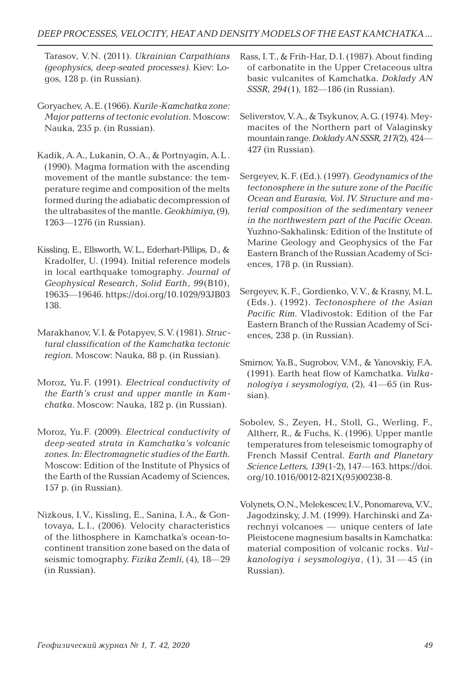Tarasov, V.N. (2011). *Ukrainian Carpathians (geophysics, deep-seated processes)*. Kiev: Logos, 128 p. (in Russian).

- Goryachev, А.Е. (1966). *Kurile-Kamchatka zone: Major patterns of tectonic evolution*. Мoscow: Nauka, 235 p. (in Russian).
- Kadik, A.A., Lukanin, O.A., & Portnyagin, A.L . (1990). Magma formation with the ascending movement of the mantle substance: the temperature regime and composition of the melts formed during the adiabatic decompression of the ultrabasites of the mantle. *Geokhimiya*, (9), 1263―1276 (in Russian).
- Kissling, E., Ellsworth, W.L., Ederhart-Pillips, D., & Kradolfer, U. (1994). Initial reference models in local earthquake tomography. *Journal of Geophysical Research, Solid Earth, 99*(B10), 19635―19646. https://doi.org/10.1029/93JB03 138.
- Marakhanov, V.I. & Potapyev, S.V. (1981). *Structural classification of the Kamchatka tectonic region*. Мoscow: Nauka, 88 p. (in Russian).
- Moroz, Yu.F. (1991). *Electrical conductivity of the Earth's crust and upper mantle in Kamchatka*. Мoscow: Nauka, 182 p. (in Russian).
- Moroz, Yu.F. (2009). *Electrical conductivity of deep-seated strata in Kamchatka's volcanic zones. In: Electromagnetic studies of the Earth*. Moscow: Edition of the Institute of Physics of the Earth of the Russian Academy of Sciences, 157 p. (in Russian).
- Nizkous, I.V., Kissling, E., Sanina, I.A., & Gontovaya, L.I., (2006). Velocity characteristics of the lithosphere in Kamchatka's ocean-tocontinent transition zone based on the data of seismic tomography. *Fizika Zemli*, (4), 18―29 (in Russian).
- Rass, I.T., & Frih-Har, D.I. (1987). About finding of carbonatite in the Upper Cretaceous ultra basic vulcanites of Kamchatka. *Doklady AN SSSR, 294*(1), 182―186 (in Russian).
- Seliverstov, V.A., & Tsykunov, A.G. (1974). Meymacites of the Northern part of Valaginsky mountain range. *Doklady AN SSSR, 217*(2), 424― 427 (in Russian).
- Sergeyev, K.F. (Ed.). (1997). *Geodynamics of the tectonosphere in the suture zone of the Pacific Ocean and Eurasia, Vol. IV. Structure and material composition of the sedimentary veneer in the northwestern part of the Pacific Ocean*. Yuzhno-Sakhalinsk: Edition of the Institute of Marine Geology and Geophysics of the Far Eastern Branch of the Russian Academy of Sciences, 178 p. (in Russian).
- Sergeyev, K.F., Gordienko, V.V., & Krasny, M.L. (Eds.). (1992). *Tectonosphere of the Asian Pacific Rim*. Vladivostok: Edition of the Far Eastern Branch of the Russian Academy of Sciences, 238 p. (in Russian).
- Smirnov, Ya.B., Sugrobov, V.M., & Yanovskiy, F.A. (1991). Earth heat flow of Kamchatka. *Vulkanologiya i seysmologiya*, (2), 41―65 (in Russian).
- Sobolev, S., Zeyen, H., Stoll, G., Werling, F., Altherr, R., & Fuchs, K. (1996). Upper mantle temperatures from teleseismic tomography of French Massif Central. *Earth and Planetary Science Letters, 139*(1-2), 147―163. https://doi. org/10.1016/0012-821X(95)00238-8.
- Volynets, O.N., Melekescev, I.V., Ponomareva, V.V., Jagodzinsky, J.М. (1999). Harchinski and Zarechnyi volcanoes ― unique centers of late Pleistocene magnesium basalts in Kamchatka: material composition of volcanic rocks. *Vulkanologiya i seysmologiya*, (1), 31 ―45 (in Russian).